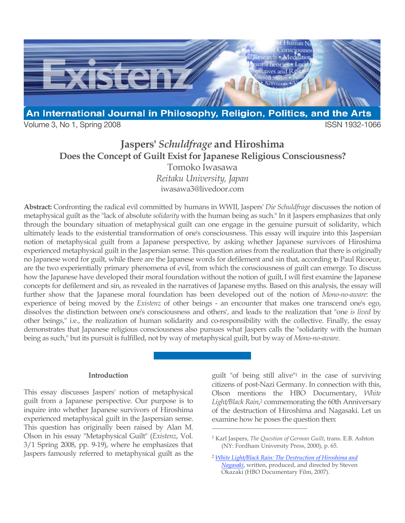

Volume 3, No 1, Spring 2008 **ISSN 1932-1066** 

# **Jaspers'** *Schuldfrage* **and Hiroshima Does the Concept of Guilt Exist for Japanese Religious Consciousness?**

Tomoko Iwasawa *Reitaku University, Japan*

iwasawa3@livedoor.com

**Abstract:** Confronting the radical evil committed by humans in WWII, Jaspers' *Die Schuldfrage* discusses the notion of metaphysical guilt as the "lack of absolute *solidarity* with the human being as such." In it Jaspers emphasizes that only through the boundary situation of metaphysical guilt can one engage in the genuine pursuit of solidarity, which ultimately leads to the existential transformation of one's consciousness. This essay will inquire into this Jaspersian notion of metaphysical guilt from a Japanese perspective, by asking whether Japanese survivors of Hiroshima experienced metaphysical guilt in the Jaspersian sense. This question arises from the realization that there is originally no Japanese word for guilt, while there are the Japanese words for defilement and sin that, according to Paul Ricoeur, are the two experientially primary phenomena of evil, from which the consciousness of guilt can emerge. To discuss how the Japanese have developed their moral foundation without the notion of guilt, I will first examine the Japanese concepts for defilement and sin, as revealed in the narratives of Japanese myths. Based on this analysis, the essay will further show that the Japanese moral foundation has been developed out of the notion of *Mono-no-aware*: the experience of being moved by the *Existenz* of other beings - an encounter that makes one transcend one's ego, dissolves the distinction between one's consciousness and others', and leads to the realization that "one *is lived* by other beings," i.e., the realization of human solidarity and co-responsibility with the collective. Finally, the essay demonstrates that Japanese religious consciousness also pursues what Jaspers calls the "solidarity with the human being as such," but its pursuit is fulfilled, not by way of metaphysical guilt, but by way of *Mono-no-aware*.

 $\overline{a}$ 

### **Introduction**

This essay discusses Jaspers' notion of metaphysical guilt from a Japanese perspective. Our purpose is to inquire into whether Japanese survivors of Hiroshima experienced metaphysical guilt in the Jaspersian sense. This question has originally been raised by Alan M. Olson in his essay "Metaphysical Guilt" (*Existenz*, Vol. 3/1 Spring 2008, pp. 9-19), where he emphasizes that Jaspers famously referred to metaphysical guilt as the guilt "of being still alive"1 in the case of surviving citizens of post-Nazi Germany. In connection with this, Olson mentions the HBO Documentary, *White Light/Black Rain*, 2 commemorating the 60th Anniversary of the destruction of Hiroshima and Nagasaki. Let us examine how he poses the question then:

<sup>1</sup> Karl Jaspers, *The Question of German Guilt*, trans. E.B. Ashton (NY: Fordham University Press, 2000), p. 65.

<sup>2</sup> *[White Light/Black Rain: The Destruction of Hiroshima and](http://www.hbo.com/docs/programs/whitelightblackrain/)  Nagasaki*, written, produced, and directed by Steven Okazaki (HBO Documentary Film, 2007).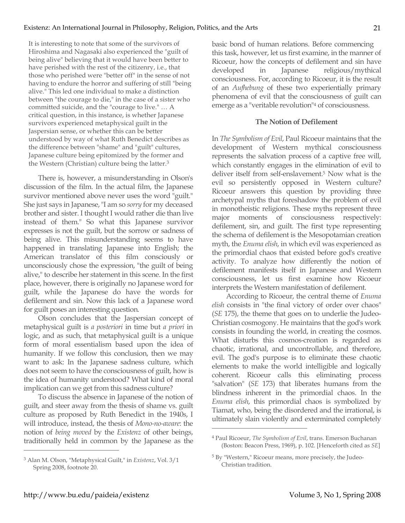It is interesting to note that some of the survivors of Hiroshima and Nagasaki also experienced the "guilt of being alive" believing that it would have been better to have perished with the rest of the citizenry, i.e., that those who perished were "better off" in the sense of not having to endure the horror and suffering of still "being alive." This led one individual to make a distinction between "the courage to die," in the case of a sister who committed suicide, and the "courage to live." … A critical question, in this instance, is whether Japanese survivors experienced metaphysical guilt in the Jaspersian sense, or whether this can be better understood by way of what Ruth Benedict describes as the difference between "shame" and "guilt" cultures, Japanese culture being epitomized by the former and the Western (Christian) culture being the latter.3

There is, however, a misunderstanding in Olson's discussion of the film. In the actual film, the Japanese survivor mentioned above never uses the word "guilt." She just says in Japanese, "I am so *sorry* for my deceased brother and sister. I thought I would rather die than live instead of them." So what this Japanese survivor expresses is not the guilt, but the sorrow or sadness of being alive. This misunderstanding seems to have happened in translating Japanese into English; the American translator of this film consciously or unconsciously chose the expression, "the guilt of being alive," to describe her statement in this scene. In the first place, however, there is originally no Japanese word for guilt, while the Japanese do have the words for defilement and sin. Now this lack of a Japanese word for guilt poses an interesting question.

Olson concludes that the Jaspersian concept of metaphysical guilt is *a posteriori* in time but *a priori* in logic, and as such, that metaphysical guilt is a unique form of moral essentialism based upon the idea of humanity. If we follow this conclusion, then we may want to ask: In the Japanese sadness culture, which does not seem to have the consciousness of guilt, how is the idea of humanity understood? What kind of moral implication can we get from this sadness culture?

To discuss the absence in Japanese of the notion of guilt, and steer away from the thesis of shame vs. guilt culture as proposed by Ruth Benedict in the 1940s, I will introduce, instead, the thesis of *Mono-no-aware*: the notion of *being moved* by the *Existenz* of other beings, traditionally held in common by the Japanese as the basic bond of human relations. Before commencing this task, however, let us first examine, in the manner of Ricoeur, how the concepts of defilement and sin have developed in Japanese religious/mythical consciousness. For, according to Ricoeur, it is the result of an *Aufhebung* of these two experientially primary phenomena of evil that the consciousness of guilt can emerge as a "veritable revolution"4 of consciousness.

## **The Notion of Defilement**

In *The Symbolism of Evil*, Paul Ricoeur maintains that the development of Western mythical consciousness represents the salvation process of a captive free will, which constantly engages in the elimination of evil to deliver itself from self-enslavement.5 Now what is the evil so persistently opposed in Western culture? Ricoeur answers this question by providing three archetypal myths that foreshadow the problem of evil in monotheistic religions. These myths represent three major moments of consciousness respectively: defilement, sin, and guilt. The first type representing the schema of defilement is the Mesopotamian creation myth, the *Enuma elish*, in which evil was experienced as the primordial chaos that existed before god's creative activity. To analyze how differently the notion of defilement manifests itself in Japanese and Western consciousness, let us first examine how Ricoeur interprets the Western manifestation of defilement.

According to Ricoeur, the central theme of *Enuma elish* consists in "the final victory of order over chaos" (*SE* 175), the theme that goes on to underlie the Judeo-Christian cosmogony. He maintains that the god's work consists in founding the world, in creating the cosmos. What disturbs this cosmos-creation is regarded as chaotic, irrational, and uncontrollable, and therefore, evil. The god's purpose is to eliminate these chaotic elements to make the world intelligible and logically coherent. Ricoeur calls this eliminating process "salvation" (*SE* 173) that liberates humans from the blindness inherent in the primordial chaos. In the *Enuma elish*, this primordial chaos is symbolized by Tiamat, who, being the disordered and the irrational, is ultimately slain violently and exterminated completely

 $\overline{a}$ 

<sup>3</sup> Alan M. Olson, "Metaphysical Guilt," in *Existenz*, Vol. 3/1 Spring 2008, footnote 20.

<sup>4</sup> Paul Ricoeur, *The Symbolism of Evil*, trans. Emerson Buchanan (Boston: Beacon Press, 1969), p. 102. [Henceforth cited as *SE*]

<sup>5</sup> By "Western," Ricoeur means, more precisely, the Judeo-Christian tradition.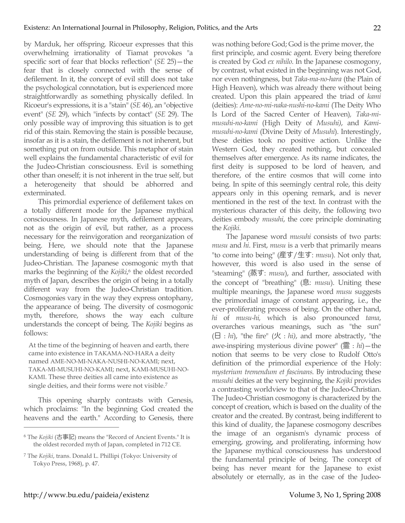by Marduk, her offspring. Ricoeur expresses that this overwhelming irrationality of Tiamat provokes "a specific sort of fear that blocks reflection" (*SE* 25)—the fear that is closely connected with the sense of defilement. In it, the concept of evil still does not take the psychological connotation, but is experienced more straightforwardly as something physically defiled. In Ricoeur's expressions, it is a "stain" (*SE* 46), an "objective event" (*SE* 29), which "infects by contact" (*SE* 29). The only possible way of improving this situation is to get rid of this stain. Removing the stain is possible because, insofar as it is a stain, the defilement is not inherent, but something put on from outside. This metaphor of stain well explains the fundamental characteristic of evil for the Judeo-Christian consciousness. Evil is something other than oneself; it is not inherent in the true self, but a heterogeneity that should be abhorred and exterminated.

This primordial experience of defilement takes on a totally different mode for the Japanese mythical consciousness. In Japanese myth, defilement appears, not as the origin of evil, but rather, as a process necessary for the reinvigoration and reorganization of being. Here, we should note that the Japanese understanding of being is different from that of the Judeo-Christian. The Japanese cosmogonic myth that marks the beginning of the *Kojiki*, <sup>6</sup> the oldest recorded myth of Japan, describes the origin of being in a totally different way from the Judeo-Christian tradition. Cosmogonies vary in the way they express ontophany, the appearance of being. The diversity of cosmogonic myth, therefore, shows the way each culture understands the concept of being. The *Kojiki* begins as follows:

At the time of the beginning of heaven and earth, there came into existence in TAKAMA-NO-HARA a deity named AME-NO-MI-NAKA-NUSHI-NO-KAMI; next, TAKA-MI-MUSUHI-NO-KAMI; next, KAMI-MUSUHI-NO-KAMI. These three deities all came into existence as single deities, and their forms were not visible.<sup>7</sup>

This opening sharply contrasts with Genesis, which proclaims: "In the beginning God created the heavens and the earth." According to Genesis, there was nothing before God; God is the prime mover, the first principle, and cosmic agent. Every being therefore is created by God *ex nihilo*. In the Japanese cosmogony, by contrast, what existed in the beginning was not God, nor even nothingness, but *Taka-ma-no-hara* (the Plain of High Heaven), which was already there without being created. Upon this plain appeared the triad of *kami*  (deities): *Ame-no-mi-naka-nushi-no-kami* (The Deity Who Is Lord of the Sacred Center of Heaven)*, Taka-mimusuhi-no-kami* (High Deity of *Musuhi)*, and *Kamimusuhi-no-kami* (Divine Deity of *Musuhi*). Interestingly, these deities took no positive action. Unlike the Western God, they created nothing, but concealed themselves after emergence. As its name indicates, the first deity is supposed to be lord of heaven, and therefore, of the entire cosmos that will come into being. In spite of this seemingly central role, this deity appears only in this opening remark, and is never mentioned in the rest of the text. In contrast with the mysterious character of this deity, the following two deities embody *musuhi*, the core principle dominating the *Kojiki*.

The Japanese word *musuhi* consists of two parts: *musu* and *hi*. First, *musu* is a verb that primarily means "to come into being" (産す/生す: *musu*). Not only that, however, this word is also used in the sense of "steaming" (蒸す: *musu*), and further, associated with the concept of "breathing" (息: *musu*). Uniting these multiple meanings, the Japanese word *musu* suggests the primordial image of constant appearing, i.e., the ever-proliferating process of being. On the other hand, *hi* of *musu-hi,* which is also pronounced *tama*, overarches various meanings, such as "the sun" (日:*hi*), "the fire" (火:*hi)*, and more abstractly, "the awe-inspiring mysterious divine power" (霊:*hi*)—the notion that seems to be very close to Rudolf Otto's definition of the primordial experience of the Holy: *mysterium tremendum et fascinans*. By introducing these *musuhi* deities at the very beginning, the *Kojiki* provides a contrasting worldview to that of the Judeo-Christian. The Judeo-Christian cosmogony is characterized by the concept of creation, which is based on the duality of the creator and the created. By contrast, being indifferent to this kind of duality, the Japanese cosmogony describes the image of an organism's dynamic process of emerging, growing, and proliferating, informing how the Japanese mythical consciousness has understood the fundamental principle of being. The concept of being has never meant for the Japanese to exist absolutely or eternally, as in the case of the Judeo-

<sup>6</sup> The *Kojiki* (古事記) means the "Record of Ancient Events." It is the oldest recorded myth of Japan, completed in 712 CE.

<sup>7</sup> The *Kojiki*, trans. Donald L. Phillipi (Tokyo: University of Tokyo Press, 1968), p. 47.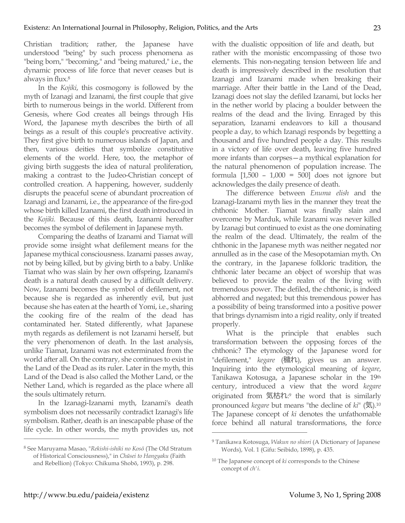Christian tradition; rather, the Japanese have understood "being" by such process phenomena as "being born," "becoming," and "being matured," i.e., the dynamic process of life force that never ceases but is always in flux. 8

In the *Kojiki*, this cosmogony is followed by the myth of Izanagi and Izanami, the first couple that give birth to numerous beings in the world. Different from Genesis, where God creates all beings through His Word, the Japanese myth describes the birth of all beings as a result of this couple's procreative activity. They first give birth to numerous islands of Japan, and then, various deities that symbolize constitutive elements of the world. Here, too, the metaphor of giving birth suggests the idea of natural proliferation, making a contrast to the Judeo-Christian concept of controlled creation. A happening, however, suddenly disrupts the peaceful scene of abundant procreation of Izanagi and Izanami, i.e., the appearance of the fire-god whose birth killed Izanami, the first death introduced in the *Kojiki.* Because of this death, Izanami hereafter becomes the symbol of defilement in Japanese myth.

Comparing the deaths of Izanami and Tiamat will provide some insight what defilement means for the Japanese mythical consciousness. Izanami passes away, not by being killed, but by giving birth to a baby. Unlike Tiamat who was slain by her own offspring, Izanami's death is a natural death caused by a difficult delivery. Now, Izanami becomes the symbol of defilement, not because she is regarded as inherently evil, but just because she has eaten at the hearth of Yomi, i.e., sharing the cooking fire of the realm of the dead has contaminated her. Stated differently, what Japanese myth regards as defilement is not Izanami herself, but the very phenomenon of death. In the last analysis, unlike Tiamat, Izanami was not exterminated from the world after all. On the contrary, she continues to exist in the Land of the Dead as its ruler. Later in the myth, this Land of the Dead is also called the Mother Land, or the Nether Land, which is regarded as the place where all the souls ultimately return.

In the Izanagi-Izanami myth, Izanami's death symbolism does not necessarily contradict Izanagi's life symbolism. Rather, death is an inescapable phase of the life cycle. In other words, the myth provides us, not with the dualistic opposition of life and death, but rather with the monistic encompassing of those two elements. This non-negating tension between life and death is impressively described in the resolution that Izanagi and Izanami made when breaking their marriage. After their battle in the Land of the Dead, Izanagi does not slay the defiled Izanami, but locks her in the nether world by placing a boulder between the realms of the dead and the living. Enraged by this separation, Izanami endeavors to kill a thousand people a day, to which Izanagi responds by begetting a thousand and five hundred people a day. This results in a victory of life over death, leaving five hundred more infants than corpses—a mythical explanation for the natural phenomenon of population increase. The formula [1,500 – 1,000 = 500] does not ignore but acknowledges the daily presence of death.

The difference between *Enuma elish* and the Izanagi-Izanami myth lies in the manner they treat the chthonic Mother. Tiamat was finally slain and overcome by Marduk, while Izanami was never killed by Izanagi but continued to exist as the one dominating the realm of the dead. Ultimately, the realm of the chthonic in the Japanese myth was neither negated nor annulled as in the case of the Mesopotamian myth. On the contrary, in the Japanese folkloric tradition, the chthonic later became an object of worship that was believed to provide the realm of the living with tremendous power. The defiled, the chthonic, is indeed abhorred and negated; but this tremendous power has a possibility of being transformed into a positive power that brings dynamism into a rigid reality, only if treated properly.

What is the principle that enables such transformation between the opposing forces of the chthonic? The etymology of the Japanese word for "defilement," *kegare* (穢れ), gives us an answer. Inquiring into the etymological meaning of *kegare*, Tanikawa Kotosuga, a Japanese scholar in the 19th century, introduced a view that the word *kegare* originated from 気枯れ: <sup>9</sup> the word that is similarly pronounced *kegare* but means "the decline of *ki*" (気).10 The Japanese concept of *ki* denotes the unfathomable force behind all natural transformations, the force

 $\overline{a}$ 

<sup>8</sup> See Maruyama Masao, "*Rekishi-ishiki no Kosō* (The Old Stratum of Historical Consciousness)," in *Chūsei to Hangyaku* (Faith and Rebellion) (Tokyo: Chikuma Shobō, 1993), p. 298.

<sup>9</sup> Tanikawa Kotosuga, *Wakun no shiori* (A Dictionary of Japanese Words), Vol. 1 (Gifu: Seibido, 1898), p. 435.

<sup>10</sup> The Japanese concept of *ki* corresponds to the Chinese concept of *ch'i*.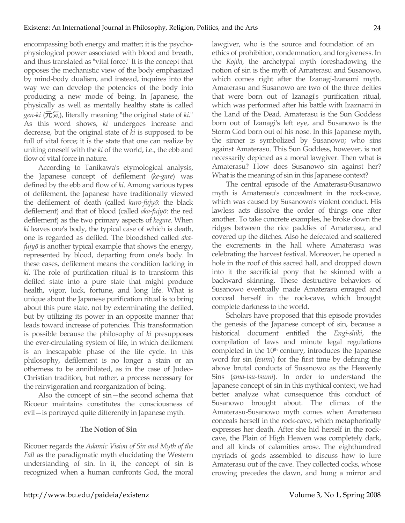encompassing both energy and matter; it is the psychophysiological power associated with blood and breath, and thus translated as "vital force." It is the concept that opposes the mechanistic view of the body emphasized by mind-body dualism, and instead, inquires into the way we can develop the potencies of the body into producing a new mode of being. In Japanese, the physically as well as mentally healthy state is called *gen-ki* (元気), literally meaning "the original state of *ki*." As this word shows, *ki* undergoes increase and decrease, but the original state of *ki* is supposed to be full of vital force; it is the state that one can realize by uniting oneself with the *ki* of the world, i.e., the ebb and flow of vital force in nature.

According to Tanikawa's etymological analysis, the Japanese concept of defilement (*ke-gare*) was defined by the ebb and flow of *ki*. Among various types of defilement, the Japanese have traditionally viewed the defilement of death (called *kuro-fujyō*: the black defilement) and that of blood (called *aka-fujyō*: the red defilement) as the two primary aspects of *kegare*. When *ki* leaves one's body, the typical case of which is death, one is regarded as defiled. The bloodshed called *akafujyō* is another typical example that shows the energy, represented by blood, departing from one's body. In these cases, defilement means the condition lacking in *ki*. The role of purification ritual is to transform this defiled state into a pure state that might produce health, vigor, luck, fortune, and long life. What is unique about the Japanese purification ritual is to bring about this pure state, not by exterminating the defiled, but by utilizing its power in an opposite manner that leads toward increase of potencies. This transformation is possible because the philosophy of *ki* presupposes the ever-circulating system of life, in which defilement is an inescapable phase of the life cycle. In this philosophy, defilement is no longer a stain or an otherness to be annihilated, as in the case of Judeo-Christian tradition, but rather, a process necessary for the reinvigoration and reorganization of being.

Also the concept of sin—the second schema that Ricoeur maintains constitutes the consciousness of evil—is portrayed quite differently in Japanese myth.

#### **The Notion of Sin**

Ricouer regards the *Adamic Vision of Sin and Myth of the Fall* as the paradigmatic myth elucidating the Western understanding of sin. In it, the concept of sin is recognized when a human confronts God, the moral lawgiver, who is the source and foundation of an ethics of prohibition, condemnation, and forgiveness. In the *Kojiki*, the archetypal myth foreshadowing the notion of sin is the myth of Amaterasu and Susanowo, which comes right after the Izanagi-Izanami myth. Amaterasu and Susanowo are two of the three deities that were born out of Izanagi's purification ritual, which was performed after his battle with Izaznami in the Land of the Dead. Amaterasu is the Sun Goddess born out of Izanagi's left eye, and Susanowo is the Storm God born out of his nose. In this Japanese myth, the sinner is symbolized by Susanowo; who sins against Amaterasu. This Sun Goddess, however, is not necessarily depicted as a moral lawgiver. Then what is Amaterasu? How does Susanowo sin against her? What is the meaning of sin in this Japanese context?

The central episode of the Amaterasu-Susanowo myth is Amaterasu's concealment in the rock-cave, which was caused by Susanowo's violent conduct. His lawless acts dissolve the order of things one after another. To take concrete examples, he broke down the ridges between the rice paddies of Amaterasu, and covered up the ditches. Also he defecated and scattered the excrements in the hall where Amaterasu was celebrating the harvest festival. Moreover, he opened a hole in the roof of this sacred hall, and dropped down into it the sacrificial pony that he skinned with a backward skinning. These destructive behaviors of Susanowo eventually made Amaterasu enraged and conceal herself in the rock-cave, which brought complete darkness to the world.

Scholars have proposed that this episode provides the genesis of the Japanese concept of sin, because a historical document entitled the *Engi-shiki*, the compilation of laws and minute legal regulations completed in the 10<sup>th</sup> century, introduces the Japanese word for sin (*tsumi*) for the first time by defining the above brutal conducts of Susanowo as the Heavenly Sins (*ama-tsu-tsumi*). In order to understand the Japanese concept of sin in this mythical context, we had better analyze what consequence this conduct of Susanowo brought about. The climax of the Amaterasu-Susanowo myth comes when Amaterasu conceals herself in the rock-cave, which metaphorically expresses her death. After she hid herself in the rockcave, the Plain of High Heaven was completely dark, and all kinds of calamities arose. The eighthundred myriads of gods assembled to discuss how to lure Amaterasu out of the cave. They collected cocks, whose crowing precedes the dawn, and hung a mirror and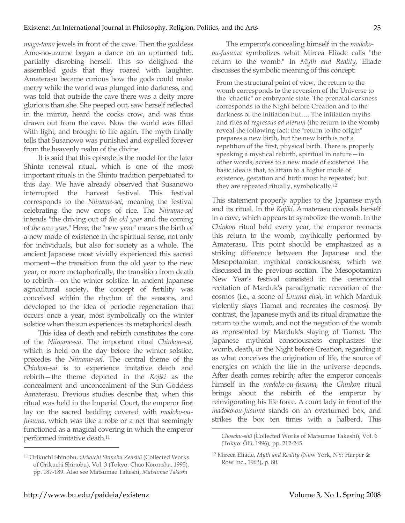*maga-tama* jewels in front of the cave. Then the goddess Ame-no-uzume began a dance on an upturned tub, partially disrobing herself. This so delighted the assembled gods that they roared with laughter. Amaterasu became curious how the gods could make merry while the world was plunged into darkness, and was told that outside the cave there was a deity more glorious than she. She peeped out, saw herself reflected in the mirror, heard the cocks crow, and was thus drawn out from the cave. Now the world was filled with light, and brought to life again. The myth finally tells that Susanowo was punished and expelled forever from the heavenly realm of the divine.

It is said that this episode is the model for the later Shinto renewal ritual, which is one of the most important rituals in the Shinto tradition perpetuated to this day. We have already observed that Susanowo interrupted the harvest festival. This festival corresponds to the *Niiname-sai*, meaning the festival celebrating the new crops of rice. The *Niiname-sai*  intends "the driving out of *the old year* and the coming of *the new year.*" Here, the "new year" means the birth of a new mode of existence in the spiritual sense, not only for individuals, but also for society as a whole. The ancient Japanese most vividly experienced this sacred moment—the transition from the old year to the new year, or more metaphorically, the transition from death to rebirth—on the winter solstice. In ancient Japanese agricultural society, the concept of fertility was conceived within the rhythm of the seasons, and developed to the idea of periodic regeneration that occurs once a year, most symbolically on the winter solstice when the sun experiences its metaphorical death.

This idea of death and rebirth constitutes the core of the *Niiname-sai*. The important ritual *Chinkon-sai*, which is held on the day before the winter solstice, precedes the *Niiname-sai*. The central theme of the *Chinkon-sai* is to experience imitative death and rebirth—the theme depicted in the *Kojiki* as the concealment and unconcealment of the Sun Goddess Amaterasu. Previous studies describe that, when this ritual was held in the Imperial Court, the emperor first lay on the sacred bedding covered with *madoko-oufusuma*, which was like a robe or a net that seemingly functioned as a magical covering in which the emperor performed imitative death.11

The emperor's concealing himself in the *madokoou-fusuma* symbolizes what Mircea Eliade calls "the return to the womb." In *Myth and Reality*, Eliade discusses the symbolic meaning of this concept:

From the structural point of view, the return to the womb corresponds to the reversion of the Universe to the "chaotic" or embryonic state. The prenatal darkness corresponds to the Night before Creation and to the darkness of the initiation hut…. The initiation myths and rites of *regressus ad uterum* (the return to the womb) reveal the following fact: the "return to the origin" prepares a new birth, but the new birth is not a repetition of the first, physical birth. There is properly speaking a mystical rebirth, spiritual in nature—in other words, access to a new mode of existence. The basic idea is that, to attain to a higher mode of existence, gestation and birth must be repeated; but they are repeated ritually, symbolically. 12

This statement properly applies to the Japanese myth and its ritual. In the *Kojiki,* Amaterasu conceals herself in a cave, which appears to symbolize the womb. In the *Chinkon* ritual held every year, the emperor reenacts this return to the womb, mythically performed by Amaterasu. This point should be emphasized as a striking difference between the Japanese and the Mesopotamian mythical consciousness, which we discussed in the previous section. The Mesopotamian New Year's festival consisted in the ceremonial recitation of Marduk's paradigmatic recreation of the cosmos (i.e., a scene of *Enuma elish*, in which Marduk violently slays Tiamat and recreates the cosmos). By contrast, the Japanese myth and its ritual dramatize the return to the womb, and not the negation of the womb as represented by Marduk's slaying of Tiamat. The Japanese mythical consciousness emphasizes the womb, death, or the Night before Creation, regarding it as what conceives the origination of life, the source of energies on which the life in the universe depends. After death comes rebirth; after the emperor conceals himself in the *madoko-ou-fusuma*, the *Chinkon* ritual brings about the rebirth of the emperor by reinvigorating his life force. A court lady in front of the *madoko-ou-fusuma* stands on an overturned box, and strikes the box ten times with a halberd. This

 $\overline{a}$ 

<sup>11</sup> Orikuchi Shinobu, *Orikuchi Shinobu Zenshū* (Collected Works of Orikuchi Shinobu), Vol. 3 (Tokyo: Chūō Kōronsha, 1995), pp. 187-189. Also see Matsumae Takeshi, *Matsumae Takeshi* 

*Chosaku-shū* (Collected Works of Matsumae Takeshi), Vol. 6 (Tokyo: Ōfū, 1996), pp, 212-245.

<sup>12</sup> Mircea Eliade, *Myth and Reality* (New York, NY: Harper & Row Inc., 1963), p. 80.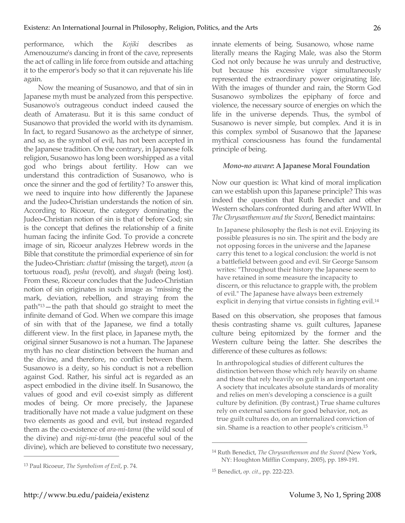performance, which the *Kojiki* describes as Amenouzume's dancing in front of the cave, represents the act of calling in life force from outside and attaching it to the emperor's body so that it can rejuvenate his life again.

Now the meaning of Susanowo, and that of sin in Japanese myth must be analyzed from this perspective. Susanowo's outrageous conduct indeed caused the death of Amaterasu. But it is this same conduct of Susanowo that provided the world with its dynamism. In fact, to regard Susanowo as the archetype of sinner, and so, as the symbol of evil, has not been accepted in the Japanese tradition. On the contrary, in Japanese folk religion, Susanowo has long been worshipped as a vital god who brings about fertility. How can we understand this contradiction of Susanowo, who is once the sinner and the god of fertility? To answer this, we need to inquire into how differently the Japanese and the Judeo-Christian understands the notion of sin. According to Ricoeur, the category dominating the Judeo-Christian notion of sin is that of before God; sin is the concept that defines the relationship of a finite human facing the infinite God. To provide a concrete image of sin, Ricoeur analyzes Hebrew words in the Bible that constitute the primordial experience of sin for the Judeo-Christian: *chattat* (missing the target), *awon* (a tortuous road), *pesha* (revolt), and *shagah* (being lost). From these, Ricoeur concludes that the Judeo-Christian notion of sin originates in such image as "missing the mark, deviation, rebellion, and straying from the path"13—the path that should go straight to meet the infinite demand of God. When we compare this image of sin with that of the Japanese, we find a totally different view. In the first place, in Japanese myth, the original sinner Susanowo is not a human. The Japanese myth has no clear distinction between the human and the divine, and therefore, no conflict between them. Susanowo is a deity, so his conduct is not a rebellion against God. Rather, his sinful act is regarded as an aspect embodied in the divine itself. In Susanowo, the values of good and evil co-exist simply as different modes of being. Or more precisely, the Japanese traditionally have not made a value judgment on these two elements as good and evil, but instead regarded them as the co-existence of *ara-mi-tama* (the wild soul of the divine) and *nigi-mi-tama* (the peaceful soul of the divine), which are believed to constitute two necessary,

 $\overline{a}$ 

innate elements of being. Susanowo, whose name literally means the Raging Male, was also the Storm God not only because he was unruly and destructive, but because his excessive vigor simultaneously represented the extraordinary power originating life. With the images of thunder and rain, the Storm God Susanowo symbolizes the epiphany of force and violence, the necessary source of energies on which the life in the universe depends. Thus, the symbol of Susanowo is never simple, but complex. And it is in this complex symbol of Susanowo that the Japanese mythical consciousness has found the fundamental principle of being.

#### *Mono-no aware***: A Japanese Moral Foundation**

Now our question is: What kind of moral implication can we establish upon this Japanese principle? This was indeed the question that Ruth Benedict and other Western scholars confronted during and after WWII. In *The Chrysanthemum and the Sword*, Benedict maintains:

In Japanese philosophy the flesh is not evil. Enjoying its possible pleasures is no sin. The spirit and the body are not opposing forces in the universe and the Japanese carry this tenet to a logical conclusion: the world is not a battlefield between good and evil. Sir George Sansom writes: "Throughout their history the Japanese seem to have retained in some measure the incapacity to discern, or this reluctance to grapple with, the problem of evil." The Japanese have always been extremely explicit in denying that virtue consists in fighting evil.14

Based on this observation, she proposes that famous thesis contrasting shame vs. guilt cultures, Japanese culture being epitomized by the former and the Western culture being the latter. She describes the difference of these cultures as follows:

In anthropological studies of different cultures the distinction between those which rely heavily on shame and those that rely heavily on guilt is an important one. A society that inculcates absolute standards of morality and relies on men's developing a conscience is a guilt culture by definition. (By contrast,) True shame cultures rely on external sanctions for good behavior, not, as true guilt cultures do, on an internalized conviction of sin. Shame is a reaction to other people's criticism.15

<sup>13</sup> Paul Ricoeur, *The Symbolism of Evil*, p. 74.

<sup>14</sup> Ruth Benedict, *The Chrysanthemum and the Sword* (New York, NY: Houghton Mifflin Company, 2005), pp. 189-191.

<sup>15</sup> Benedict, *op. cit*., pp. 222-223.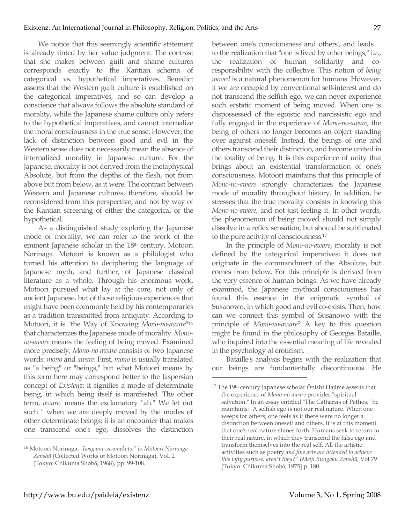We notice that this seemingly scientific statement is already tinted by her value judgment. The contrast that she makes between guilt and shame cultures corresponds exactly to the Kantian schema of categorical vs. hypothetical imperatives. Benedict asserts that the Western guilt culture is established on the categorical imperatives, and so can develop a conscience that always follows the absolute standard of morality, while the Japanese shame culture only refers to the hypothetical imperatives, and cannot internalize the moral consciousness in the true sense. However, the lack of distinction between good and evil in the Western sense does not necessarily mean the absence of internalized morality in Japanese culture. For the Japanese, morality is not derived from the metaphysical Absolute, but from the depths of the flesh, not from above but from below, as it were. The contrast between Western and Japanese cultures, therefore, should be reconsidered from this perspective, and not by way of the Kantian screening of either the categorical or the hypothetical.

As a distinguished study exploring the Japanese mode of morality, we can refer to the work of the eminent Japanese scholar in the 18<sup>th</sup> century, Motoori Norinaga. Motoori is known as a philologist who turned his attention to deciphering the language of Japanese myth, and further, of Japanese classical literature as a whole. Through his enormous work, Motoori pursued what lay at the core, not only of ancient Japanese, but of those religious experiences that might have been commonly held by his contemporaries as a tradition transmitted from antiquity. According to Motoori, it is "the Way of Knowing *Mono-no-aware*"16 that characterizes the Japanese mode of morality. *Monono-aware* means the feeling of being moved. Examined more precisely, *Mono-no aware* consists of two Japanese words: *mono* and *aware*. First, *mono* is usually translated as "a being" or "beings," but what Motoori means by this term here may correspond better to the Jaspersian concept of *Existenz*: it signifies a mode of determinate being, in which being itself is manifested. The other term, *aware,* means the exclamatory "ah." We let out such " when we are deeply moved by the modes of other determinate beings; it is an encounter that makes one transcend one's ego, dissolves the distinction between one's consciousness and others', and leads to the realization that "one is lived by other beings," i.e., the realization of human solidarity and coresponsibility with the collective. This notion of *being moved* is a natural phenomenon for humans. However, if we are occupied by conventional self-interest and do not transcend the selfish ego, we can never experience such ecstatic moment of being moved. When one is dispossessed of the egoistic and narcissistic ego and fully engaged in the experience of *Mono-no-aware*, the being of others no longer becomes an object standing over against oneself. Instead, the beings of one and others transcend their distinction, and become united in the totality of being. It is this experience of unity that brings about an existential transformation of one's consciousness. Motoori maintains that this principle of *Mono-no-aware* strongly characterizes the Japanese mode of morality throughout history. In addition, he stresses that the true morality consists in knowing this *Mono-no-aware,* and not just feeling it. In other words, the phenomenon of being moved should not simply dissolve in a reflex sensation, but should be sublimated to the pure activity of consciousness.17

In the principle of *Mono-no-aware*, morality is not defined by the categorical imperatives; it does not originate in the commandment of the Absolute, but comes from below. For this principle is derived from the very essence of human beings. As we have already examined, the Japanese mythical consciousness has found this essence in the enigmatic symbol of Susanowo, in which good and evil co-exists. Then, how can we connect this symbol of Susanowo with the principle of *Mono-no-aware*? A key to this question might be found in the philosophy of Georges Bataille, who inquired into the essential meaning of life revealed in the psychology of eroticism.

Bataille's analysis begins with the realization that our beings are fundamentally discontinuous. He

 $\overline{a}$ 

<sup>16</sup> Motoori Norinaga, "*Iwagami-sasamekoto*," in *Motoori Norinaga Zenshū* (Collected Works of Motoori Norinaga), Vol. 2 (Tokyo: Chikuma Shobō, 1968), pp. 99-108.

<sup>&</sup>lt;sup>17</sup> The 19<sup>th</sup> century Japanese scholar Ōnishi Hajime asserts that the experience of *Mono-no-aware* provides "spiritual salvation." In an essay entitled "The Catharsis of Pathos," he maintains: "A selfish ego is not our real nature. When one weeps for others, one feels as if there were no longer a distinction between oneself and others. It is at this moment that one's real nature shines forth. Humans seek to return to their real nature, in which they transcend the false ego and transform themselves into the real self. All the artistic activities such as poetry *and fine arts are intended to achieve this lofty purpose, aren't they?" (Meiji Bungaku Zenshū,* Vol 79 [Tokyo: Chikuma Shobō, 1975] p. 180.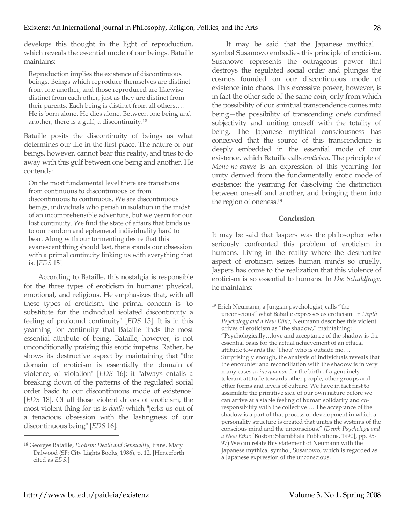develops this thought in the light of reproduction, which reveals the essential mode of our beings. Bataille maintains:

Reproduction implies the existence of discontinuous beings. Beings which reproduce themselves are distinct from one another, and those reproduced are likewise distinct from each other, just as they are distinct from their parents. Each being is distinct from all others…. He is born alone. He dies alone. Between one being and another, there is a gulf, a discontinuity.18

Bataille posits the discontinuity of beings as what determines our life in the first place. The nature of our beings, however, cannot bear this reality, and tries to do away with this gulf between one being and another. He contends:

On the most fundamental level there are transitions from continuous to discontinuous or from discontinuous to continuous. We are discontinuous beings, individuals who perish in isolation in the midst of an incomprehensible adventure, but we yearn for our lost continuity. We find the state of affairs that binds us to our random and ephemeral individuality hard to bear. Along with our tormenting desire that this evanescent thing should last, there stands our obsession with a primal continuity linking us with everything that is. [*EDS* 15]

According to Bataille, this nostalgia is responsible for the three types of eroticism in humans: physical, emotional, and religious. He emphasizes that, with all these types of eroticism, the primal concern is "to substitute for the individual isolated discontinuity a feeling of profound continuity" [*EDS* 15]. It is in this yearning for continuity that Bataille finds the most essential attribute of being. Bataille, however, is not unconditionally praising this erotic impetus. Rather, he shows its destructive aspect by maintaining that "the domain of eroticism is essentially the domain of violence, of violation" [*EDS* 16]; it "always entails a breaking down of the patterns of the regulated social order basic to our discontinuous mode of existence" [*EDS* 18]. Of all those violent drives of eroticism, the most violent thing for us is *death* which "jerks us out of a tenacious obsession with the lastingness of our discontinuous being" [*EDS* 16].

It may be said that the Japanese mythical symbol Susanowo embodies this principle of eroticism. Susanowo represents the outrageous power that destroys the regulated social order and plunges the cosmos founded on our discontinuous mode of existence into chaos. This excessive power, however, is in fact the other side of the same coin, only from which the possibility of our spiritual transcendence comes into being—the possibility of transcending one's confined subjectivity and uniting oneself with the totality of being. The Japanese mythical consciousness has conceived that the source of this transcendence is deeply embedded in the essential mode of our existence, which Bataille calls *eroticism*. The principle of *Mono-no-aware* is an expression of this yearning for unity derived from the fundamentally erotic mode of existence: the yearning for dissolving the distinction between oneself and another, and bringing them into the region of oneness.19

### **Conclusion**

It may be said that Jaspers was the philosopher who seriously confronted this problem of eroticism in humans. Living in the reality where the destructive aspect of eroticism seizes human minds so cruelly, Jaspers has come to the realization that this violence of eroticism is so essential to humans. In *Die Schuldfrage*, he maintains:

 $\overline{a}$ 

<sup>18</sup> Georges Bataille, *Erotism: Death and Sensuality,* trans. Mary Dalwood (SF: City Lights Books, 1986), p. 12. [Henceforth cited as *EDS*.]

<sup>19</sup> Erich Neumann, a Jungian psychologist, calls "the unconscious" what Bataille expresses as eroticism. In *Depth Psychology and a New Ethic*, Neumann describes this violent drives of eroticism as "the shadow," maintaining: "Psychologically…love and acceptance of the shadow is the essential basis for the actual achievement of an ethical attitude towards the 'Thou' who is outside me…. Surprisingly enough, the analysis of individuals reveals that the encounter and reconciliation with the shadow is in very many cases a *sine qua non* for the birth of a genuinely tolerant attitude towards other people, other groups and other forms and levels of culture. We have in fact first to assimilate the primitive side of our own nature before we can arrive at a stable feeling of human solidarity and coresponsibility with the collective…. The acceptance of the shadow is a part of that process of development in which a personality structure is created that unites the systems of the conscious mind and the unconscious." (*Depth Psychology and a New Ethic* [Boston: Shambhala Publications, 1990], pp. 95- 97) We can relate this statement of Neumann with the Japanese mythical symbol, Susanowo, which is regarded as a Japanese expression of the unconscious.